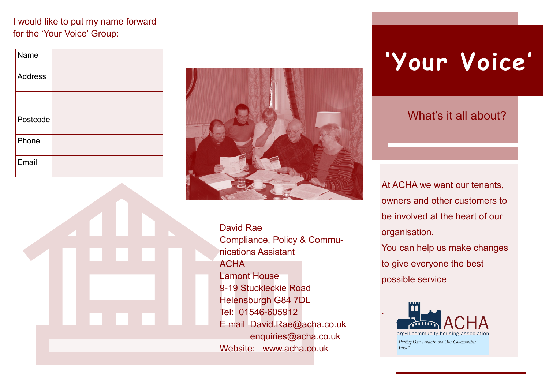### I would like to put my name forward for the 'Your Voice' Group:

| Name           |  |
|----------------|--|
| <b>Address</b> |  |
|                |  |
| Postcode       |  |
| Phone          |  |
| Email          |  |



David Rae Compliance, Policy & Communications Assistant ACHA Lamont House 9-19 Stuckleckie Road Helensburgh G84 7DL Tel: 01546-605912 E mail David.Rae@acha.co.uk enquiries@acha.co.uk Website: www.acha.co.uk

# **'Your Voice'**

### What's it all about?

At ACHA we want our tenants, owners and other customers to be involved at the heart of our organisation.

You can help us make changes to give everyone the best possible service



.